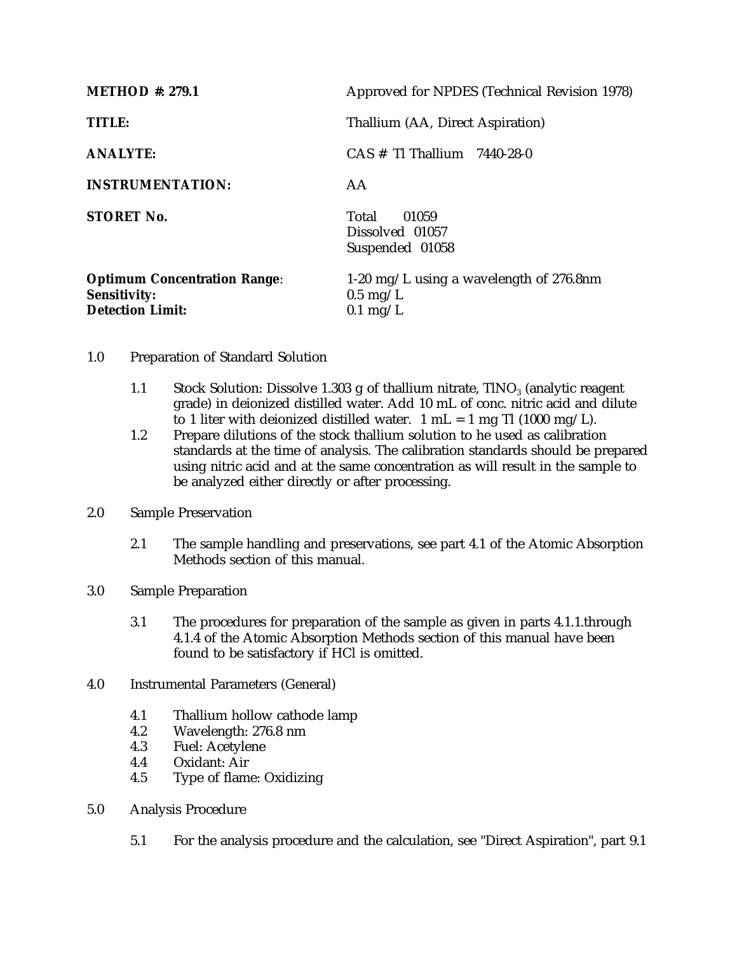| <b>METHOD</b> #: 279.1                                                                | Approved for NPDES (Technical Revision 1978)                                           |
|---------------------------------------------------------------------------------------|----------------------------------------------------------------------------------------|
| TITLE:                                                                                | Thallium (AA, Direct Aspiration)                                                       |
| <b>ANALYTE:</b>                                                                       | $CAS \# T1$ Thallium 7440-28-0                                                         |
| <b>INSTRUMENTATION:</b>                                                               | AA                                                                                     |
| <b>STORET No.</b>                                                                     | Total<br>01059<br>Dissolved 01057<br>Suspended 01058                                   |
| <b>Optimum Concentration Range:</b><br><b>Sensitivity:</b><br><b>Detection Limit:</b> | 1-20 mg/L using a wavelength of $276.8$ nm<br>$0.5 \text{ mg/L}$<br>$0.1 \text{ mg/L}$ |

## 1.0 Preparation of Standard Solution

- 1.1 Stock Solution: Dissolve 1.303 g of thallium nitrate,  $TINO_3$  (analytic reagent grade) in deionized distilled water. Add 10 mL of conc. nitric acid and dilute to 1 liter with deionized distilled water.  $1 \text{ mL} = 1 \text{ mg} \text{ T}$ l (1000 mg/L).
- 1.2 Prepare dilutions of the stock thallium solution to he used as calibration standards at the time of analysis. The calibration standards should be prepared using nitric acid and at the same concentration as will result in the sample to be analyzed either directly or after processing.

## 2.0 Sample Preservation

- 2.1 The sample handling and preservations, see part 4.1 of the Atomic Absorption Methods section of this manual.
- 3.0 Sample Preparation
	- 3.1 The procedures for preparation of the sample as given in parts 4.1.1.through 4.1.4 of the Atomic Absorption Methods section of this manual have been found to be satisfactory if HCl is omitted.
- 4.0 Instrumental Parameters (General)
	- 4.1 Thallium hollow cathode lamp<br>4.2 Wavelength: 276.8 nm
	- 4.2 Wavelength: 276.8 nm
	- 4.3 Fuel: Acetylene
	- 4.4 Oxidant: Air<br>4.5 Type of flam
	- Type of flame: Oxidizing
- 5.0 Analysis Procedure
	- 5.1 For the analysis procedure and the calculation, see "Direct Aspiration", part 9.1